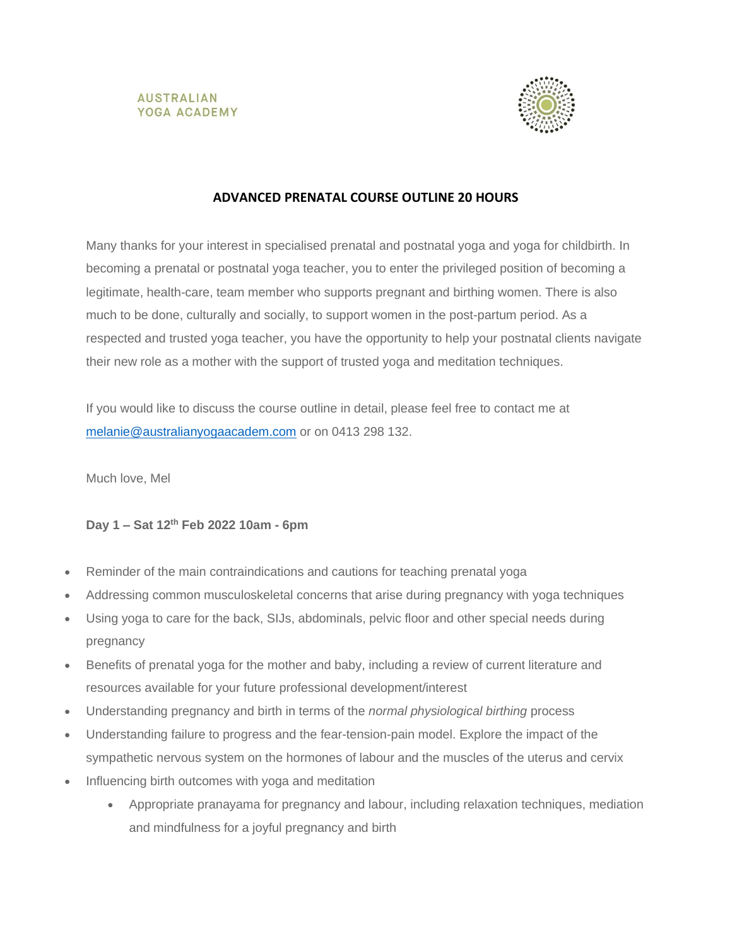



## **ADVANCED PRENATAL COURSE OUTLINE 20 HOURS**

Many thanks for your interest in specialised prenatal and postnatal yoga and yoga for childbirth. In becoming a prenatal or postnatal yoga teacher, you to enter the privileged position of becoming a legitimate, health-care, team member who supports pregnant and birthing women. There is also much to be done, culturally and socially, to support women in the post-partum period. As a respected and trusted yoga teacher, you have the opportunity to help your postnatal clients navigate their new role as a mother with the support of trusted yoga and meditation techniques.

If you would like to discuss the course outline in detail, please feel free to contact me at [melanie@australianyogaacadem.com](mailto:melanie@australianyogaacadem.com) or on 0413 298 132.

Much love, Mel

### **Day 1 – Sat 12th Feb 2022 10am - 6pm**

- Reminder of the main contraindications and cautions for teaching prenatal yoga
- Addressing common musculoskeletal concerns that arise during pregnancy with yoga techniques
- Using yoga to care for the back, SIJs, abdominals, pelvic floor and other special needs during pregnancy
- Benefits of prenatal yoga for the mother and baby, including a review of current literature and resources available for your future professional development/interest
- Understanding pregnancy and birth in terms of the *normal physiological birthing* process
- Understanding failure to progress and the fear-tension-pain model. Explore the impact of the sympathetic nervous system on the hormones of labour and the muscles of the uterus and cervix
- Influencing birth outcomes with yoga and meditation
	- Appropriate pranayama for pregnancy and labour, including relaxation techniques, mediation and mindfulness for a joyful pregnancy and birth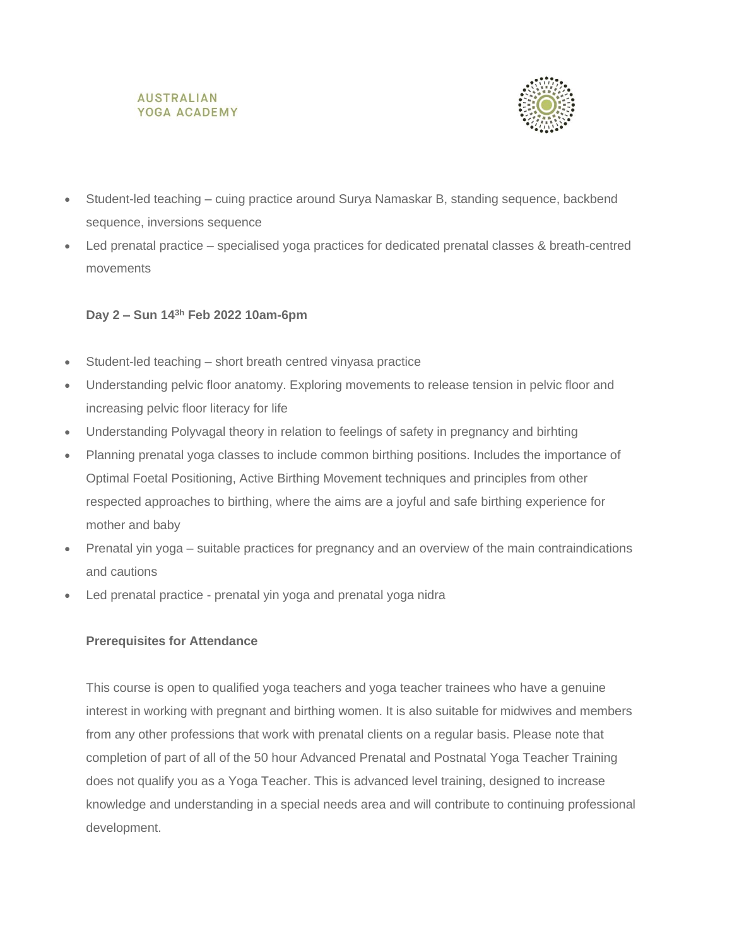#### **AUSTRALIAN** YOGA ACADEMY



- Student-led teaching cuing practice around Surya Namaskar B, standing sequence, backbend sequence, inversions sequence
- Led prenatal practice specialised yoga practices for dedicated prenatal classes & breath-centred movements

### **Day 2 – Sun 143h Feb 2022 10am-6pm**

- Student-led teaching short breath centred vinyasa practice
- Understanding pelvic floor anatomy. Exploring movements to release tension in pelvic floor and increasing pelvic floor literacy for life
- Understanding Polyvagal theory in relation to feelings of safety in pregnancy and birhting
- Planning prenatal yoga classes to include common birthing positions. Includes the importance of Optimal Foetal Positioning, Active Birthing Movement techniques and principles from other respected approaches to birthing, where the aims are a joyful and safe birthing experience for mother and baby
- Prenatal yin yoga suitable practices for pregnancy and an overview of the main contraindications and cautions
- Led prenatal practice prenatal yin yoga and prenatal yoga nidra

### **Prerequisites for Attendance**

This course is open to qualified yoga teachers and yoga teacher trainees who have a genuine interest in working with pregnant and birthing women. It is also suitable for midwives and members from any other professions that work with prenatal clients on a regular basis. Please note that completion of part of all of the 50 hour Advanced Prenatal and Postnatal Yoga Teacher Training does not qualify you as a Yoga Teacher. This is advanced level training, designed to increase knowledge and understanding in a special needs area and will contribute to continuing professional development.